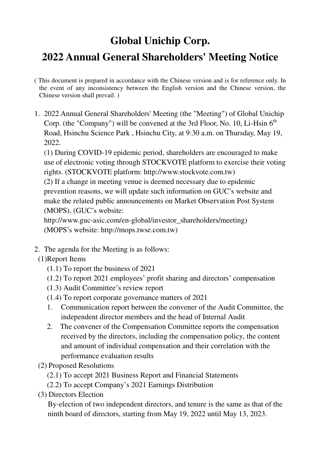## **Global Unichip Corp.**

## **2022 Annual General Shareholders' Meeting Notice**

- ( This document is prepared in accordance with the Chinese version and is for reference only. In the event of any inconsistency between the English version and the Chinese version, the Chinese version shall prevail. )
- 1. 2022 Annual General Shareholders' Meeting (the "Meeting") of Global Unichip Corp. (the "Company") will be convened at the 3rd Floor, No. 10, Li-Hsin  $6<sup>th</sup>$ Road, Hsinchu Science Park , Hsinchu City, at 9:30 a.m. on Thursday, May 19, 2022.

(1) During COVID-19 epidemic period, shareholders are encouraged to make use of electronic voting through STOCKVOTE platform to exercise their voting rights. (STOCKVOTE platform: http://www.stockvote.com.tw)

(2) If a change in meeting venue is deemed necessary due to epidemic prevention reasons, we will update such information on GUC's website and make the related public announcements on Market Observation Post System (MOPS). (GUC's website:

http://www.guc-asic.com/en-global/investor\_shareholders/meeting) (MOPS's website: http://mops.twse.com.tw)

- 2. The agenda for the Meeting is as follows:
	- (1)Report Items
		- (1.1) To report the business of 2021
		- (1.2) To report 2021 employees' profit sharing and directors' compensation
		- (1.3) Audit Committee's review report
		- (1.4) To report corporate governance matters of 2021
		- 1. Communication report between the convener of the Audit Committee, the independent director members and the head of Internal Audit
		- 2. The convener of the Compensation Committee reports the compensation received by the directors, including the compensation policy, the content and amount of individual compensation and their correlation with the performance evaluation results
	- (2) Proposed Resolutions
		- (2.1) To accept 2021 Business Report and Financial Statements
		- (2.2) To accept Company's 2021 Earnings Distribution
	- (3) Directors Election

By-election of two independent directors, and tenure is the same as that of the ninth board of directors, starting from May 19, 2022 until May 13, 2023.